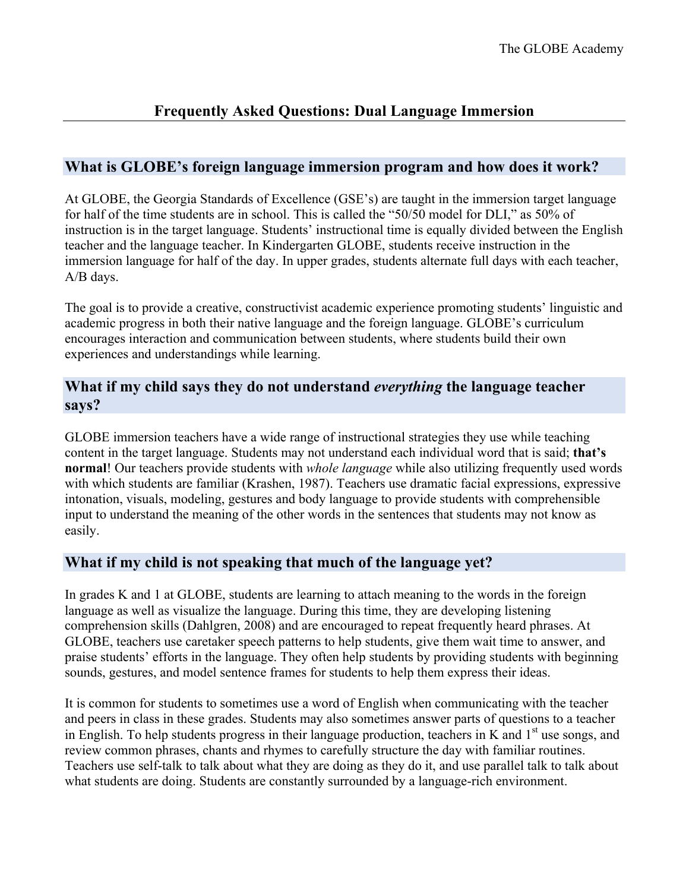# **Frequently Asked Questions: Dual Language Immersion**

## **What is GLOBE's foreign language immersion program and how does it work?**

At GLOBE, the Georgia Standards of Excellence (GSE's) are taught in the immersion target language for half of the time students are in school. This is called the "50/50 model for DLI," as 50% of instruction is in the target language. Students' instructional time is equally divided between the English teacher and the language teacher. In Kindergarten GLOBE, students receive instruction in the immersion language for half of the day. In upper grades, students alternate full days with each teacher, A/B days.

The goal is to provide a creative, constructivist academic experience promoting students' linguistic and academic progress in both their native language and the foreign language. GLOBE's curriculum encourages interaction and communication between students, where students build their own experiences and understandings while learning.

## **What if my child says they do not understand** *everything* **the language teacher says?**

GLOBE immersion teachers have a wide range of instructional strategies they use while teaching content in the target language. Students may not understand each individual word that is said; **that's normal**! Our teachers provide students with *whole language* while also utilizing frequently used words with which students are familiar (Krashen, 1987). Teachers use dramatic facial expressions, expressive intonation, visuals, modeling, gestures and body language to provide students with comprehensible input to understand the meaning of the other words in the sentences that students may not know as easily.

### **What if my child is not speaking that much of the language yet?**

In grades K and 1 at GLOBE, students are learning to attach meaning to the words in the foreign language as well as visualize the language. During this time, they are developing listening comprehension skills (Dahlgren, 2008) and are encouraged to repeat frequently heard phrases. At GLOBE, teachers use caretaker speech patterns to help students, give them wait time to answer, and praise students' efforts in the language. They often help students by providing students with beginning sounds, gestures, and model sentence frames for students to help them express their ideas.

It is common for students to sometimes use a word of English when communicating with the teacher and peers in class in these grades. Students may also sometimes answer parts of questions to a teacher in English. To help students progress in their language production, teachers in K and  $1<sup>st</sup>$  use songs, and review common phrases, chants and rhymes to carefully structure the day with familiar routines. Teachers use self-talk to talk about what they are doing as they do it, and use parallel talk to talk about what students are doing. Students are constantly surrounded by a language-rich environment.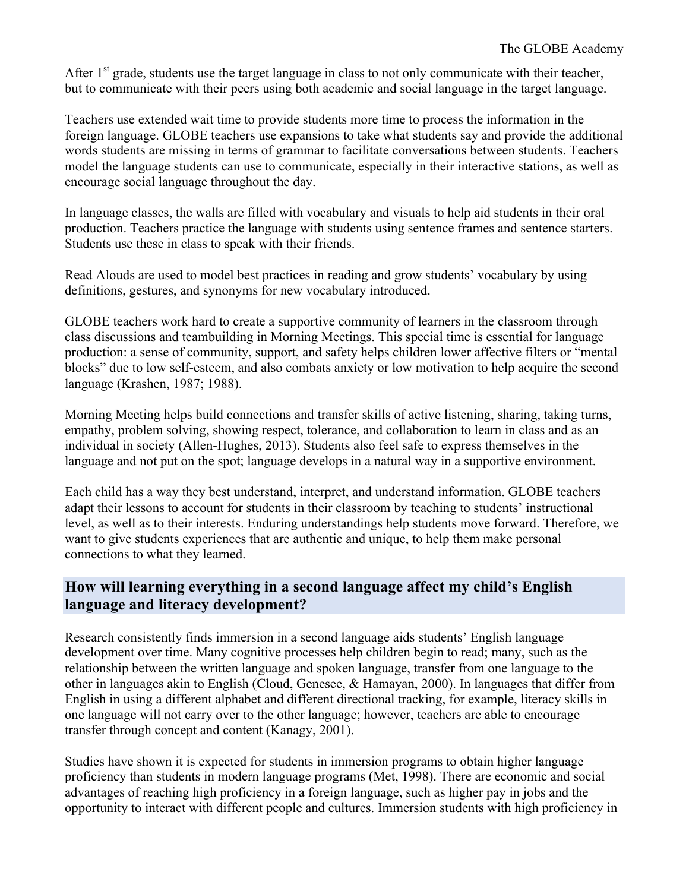After  $1<sup>st</sup>$  grade, students use the target language in class to not only communicate with their teacher, but to communicate with their peers using both academic and social language in the target language.

Teachers use extended wait time to provide students more time to process the information in the foreign language. GLOBE teachers use expansions to take what students say and provide the additional words students are missing in terms of grammar to facilitate conversations between students. Teachers model the language students can use to communicate, especially in their interactive stations, as well as encourage social language throughout the day.

In language classes, the walls are filled with vocabulary and visuals to help aid students in their oral production. Teachers practice the language with students using sentence frames and sentence starters. Students use these in class to speak with their friends.

Read Alouds are used to model best practices in reading and grow students' vocabulary by using definitions, gestures, and synonyms for new vocabulary introduced.

GLOBE teachers work hard to create a supportive community of learners in the classroom through class discussions and teambuilding in Morning Meetings. This special time is essential for language production: a sense of community, support, and safety helps children lower affective filters or "mental blocks" due to low self-esteem, and also combats anxiety or low motivation to help acquire the second language (Krashen, 1987; 1988).

Morning Meeting helps build connections and transfer skills of active listening, sharing, taking turns, empathy, problem solving, showing respect, tolerance, and collaboration to learn in class and as an individual in society (Allen-Hughes, 2013). Students also feel safe to express themselves in the language and not put on the spot; language develops in a natural way in a supportive environment.

Each child has a way they best understand, interpret, and understand information. GLOBE teachers adapt their lessons to account for students in their classroom by teaching to students' instructional level, as well as to their interests. Enduring understandings help students move forward. Therefore, we want to give students experiences that are authentic and unique, to help them make personal connections to what they learned.

## **How will learning everything in a second language affect my child's English language and literacy development?**

Research consistently finds immersion in a second language aids students' English language development over time. Many cognitive processes help children begin to read; many, such as the relationship between the written language and spoken language, transfer from one language to the other in languages akin to English (Cloud, Genesee, & Hamayan, 2000). In languages that differ from English in using a different alphabet and different directional tracking, for example, literacy skills in one language will not carry over to the other language; however, teachers are able to encourage transfer through concept and content (Kanagy, 2001).

Studies have shown it is expected for students in immersion programs to obtain higher language proficiency than students in modern language programs (Met, 1998). There are economic and social advantages of reaching high proficiency in a foreign language, such as higher pay in jobs and the opportunity to interact with different people and cultures. Immersion students with high proficiency in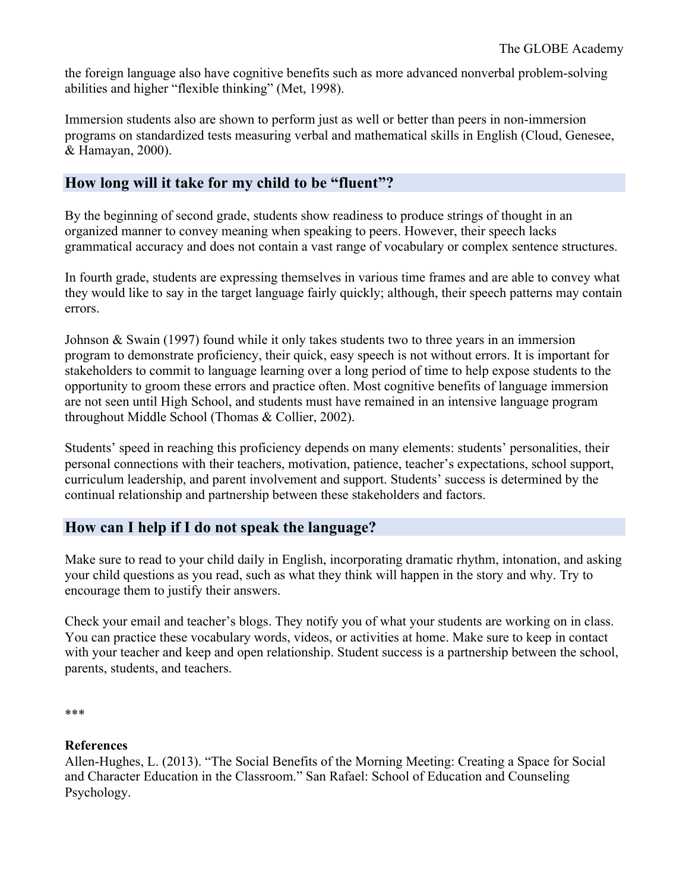the foreign language also have cognitive benefits such as more advanced nonverbal problem-solving abilities and higher "flexible thinking" (Met, 1998).

Immersion students also are shown to perform just as well or better than peers in non-immersion programs on standardized tests measuring verbal and mathematical skills in English (Cloud, Genesee, & Hamayan, 2000).

#### **How long will it take for my child to be "fluent"?**

By the beginning of second grade, students show readiness to produce strings of thought in an organized manner to convey meaning when speaking to peers. However, their speech lacks grammatical accuracy and does not contain a vast range of vocabulary or complex sentence structures.

In fourth grade, students are expressing themselves in various time frames and are able to convey what they would like to say in the target language fairly quickly; although, their speech patterns may contain errors.

Johnson & Swain (1997) found while it only takes students two to three years in an immersion program to demonstrate proficiency, their quick, easy speech is not without errors. It is important for stakeholders to commit to language learning over a long period of time to help expose students to the opportunity to groom these errors and practice often. Most cognitive benefits of language immersion are not seen until High School, and students must have remained in an intensive language program throughout Middle School (Thomas & Collier, 2002).

Students' speed in reaching this proficiency depends on many elements: students' personalities, their personal connections with their teachers, motivation, patience, teacher's expectations, school support, curriculum leadership, and parent involvement and support. Students' success is determined by the continual relationship and partnership between these stakeholders and factors.

### **How can I help if I do not speak the language?**

Make sure to read to your child daily in English, incorporating dramatic rhythm, intonation, and asking your child questions as you read, such as what they think will happen in the story and why. Try to encourage them to justify their answers.

Check your email and teacher's blogs. They notify you of what your students are working on in class. You can practice these vocabulary words, videos, or activities at home. Make sure to keep in contact with your teacher and keep and open relationship. Student success is a partnership between the school, parents, students, and teachers.

#### **References**

Allen-Hughes, L. (2013). "The Social Benefits of the Morning Meeting: Creating a Space for Social and Character Education in the Classroom." San Rafael: School of Education and Counseling Psychology.

<sup>\*\*\*</sup>